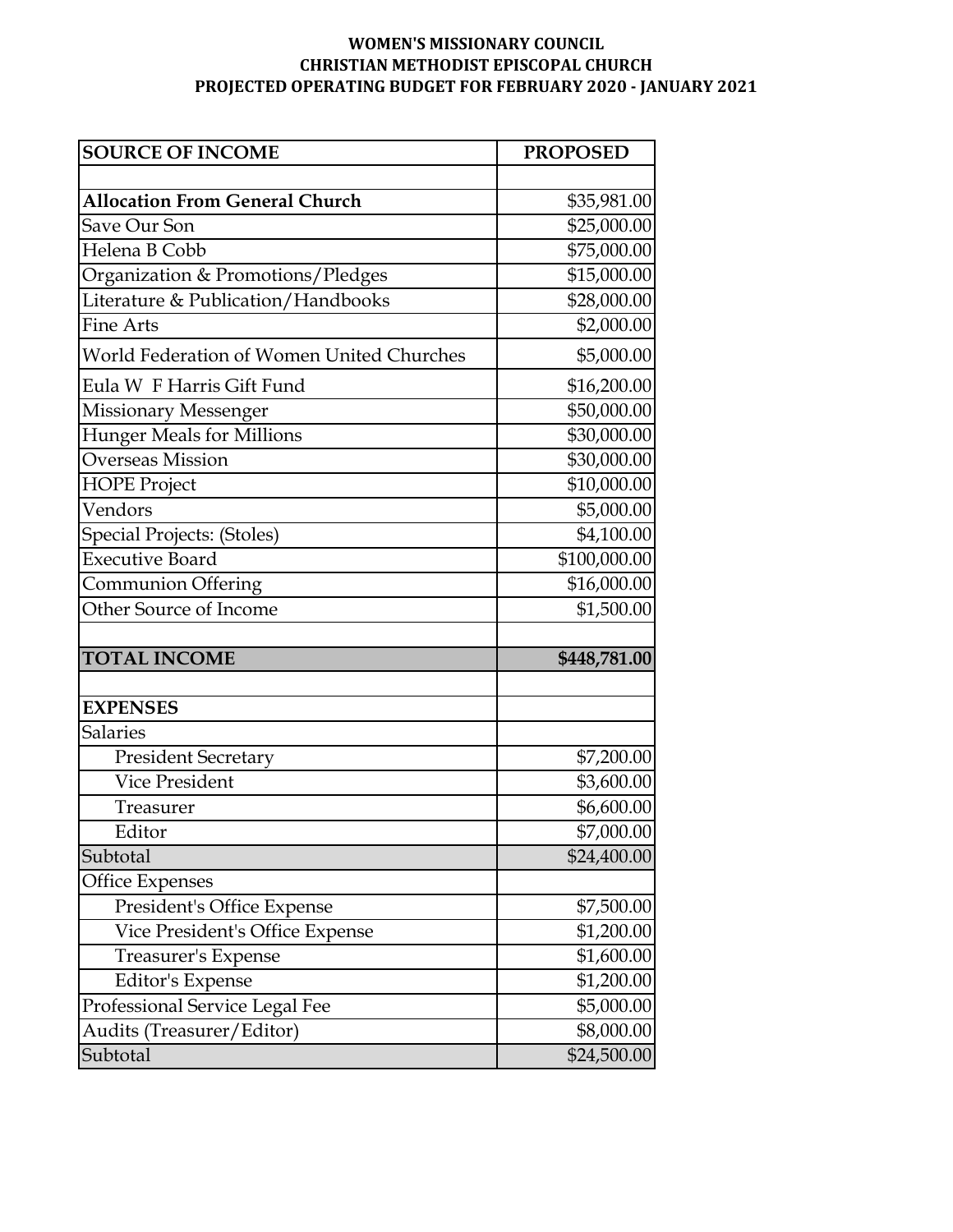## **WOMEN'S MISSIONARY COUNCIL CHRISTIAN METHODIST EPISCOPAL CHURCH PROJECTED OPERATING BUDGET FOR FEBRUARY 2020 - JANUARY 2021**

| <b>SOURCE OF INCOME</b>                   | <b>PROPOSED</b>         |
|-------------------------------------------|-------------------------|
|                                           |                         |
| <b>Allocation From General Church</b>     | \$35,981.00             |
| Save Our Son                              | \$25,000.00             |
| Helena B Cobb                             | \$75,000.00             |
| Organization & Promotions/Pledges         | \$15,000.00             |
| Literature & Publication/Handbooks        | \$28,000.00             |
| <b>Fine Arts</b>                          | \$2,000.00              |
| World Federation of Women United Churches | \$5,000.00              |
| Eula W F Harris Gift Fund                 | \$16,200.00             |
| <b>Missionary Messenger</b>               | \$50,000.00             |
| <b>Hunger Meals for Millions</b>          | \$30,000.00             |
| <b>Overseas Mission</b>                   | \$30,000.00             |
| <b>HOPE Project</b>                       | $\overline{$}10,000.00$ |
| Vendors                                   | \$5,000.00              |
| <b>Special Projects: (Stoles)</b>         | \$4,100.00              |
| <b>Executive Board</b>                    | \$100,000.00            |
| Communion Offering                        | \$16,000.00             |
| Other Source of Income                    | \$1,500.00              |
|                                           |                         |
| <b>TOTAL INCOME</b>                       | \$448,781.00            |
|                                           |                         |
| <b>EXPENSES</b>                           |                         |
| <b>Salaries</b>                           |                         |
| <b>President Secretary</b>                | \$7,200.00              |
| <b>Vice President</b>                     | \$3,600.00              |
| Treasurer                                 | \$6,600.00              |
| Editor                                    | \$7,000.00              |
| Subtotal                                  | \$24,400.00             |
| <b>Office Expenses</b>                    |                         |
| President's Office Expense                | \$7,500.00              |
| Vice President's Office Expense           | \$1,200.00              |
| Treasurer's Expense                       | \$1,600.00              |
| Editor's Expense                          | \$1,200.00              |
| Professional Service Legal Fee            | \$5,000.00              |
| Audits (Treasurer/Editor)                 | \$8,000.00              |
| Subtotal                                  | \$24,500.00             |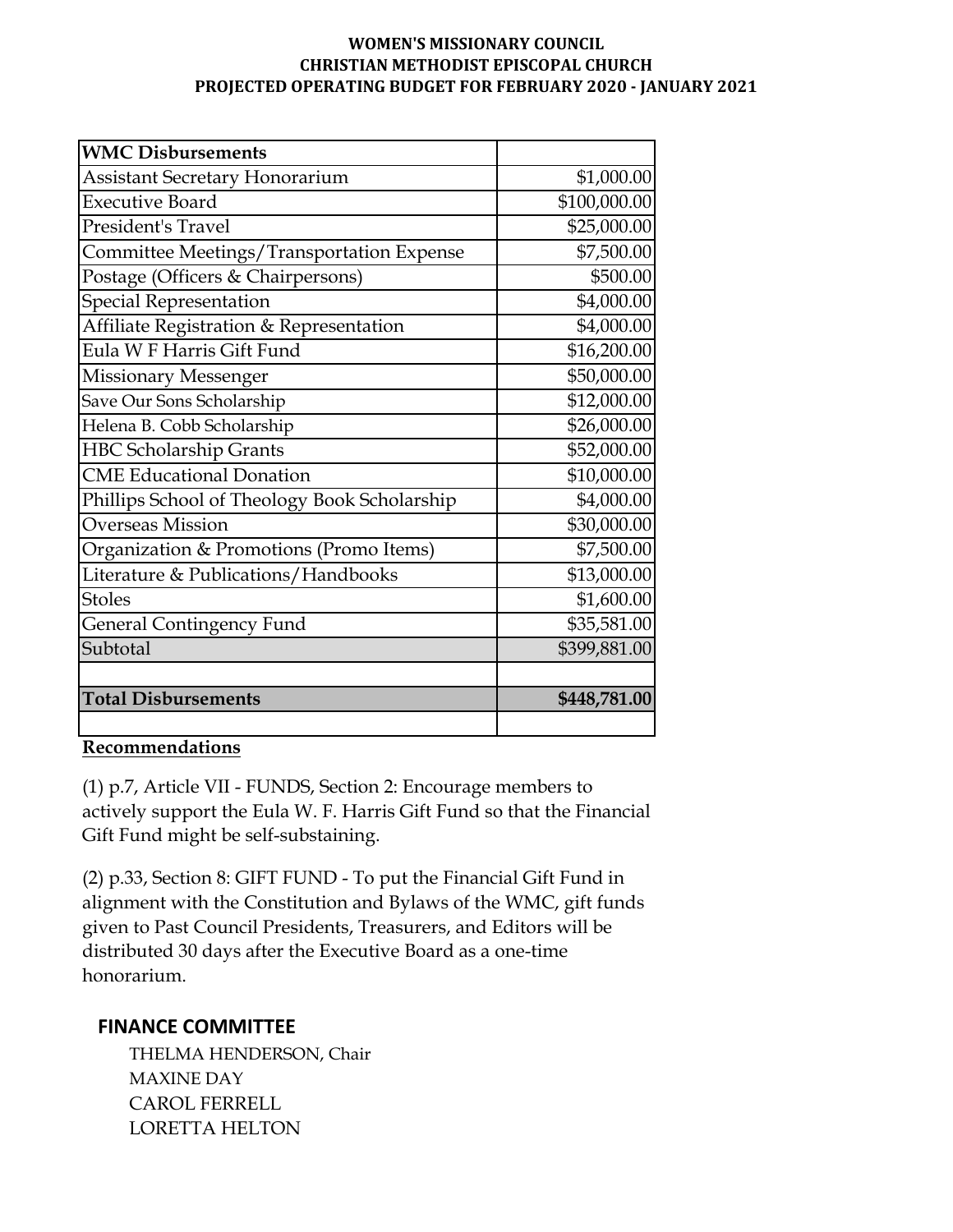#### **WOMEN'S MISSIONARY COUNCIL CHRISTIAN METHODIST EPISCOPAL CHURCH PROJECTED OPERATING BUDGET FOR FEBRUARY 2020 - JANUARY 2021**

| <b>WMC Disbursements</b>                     |              |
|----------------------------------------------|--------------|
| <b>Assistant Secretary Honorarium</b>        | \$1,000.00   |
| <b>Executive Board</b>                       | \$100,000.00 |
| President's Travel                           | \$25,000.00  |
| Committee Meetings/Transportation Expense    | \$7,500.00   |
| Postage (Officers & Chairpersons)            | \$500.00     |
| <b>Special Representation</b>                | \$4,000.00   |
| Affiliate Registration & Representation      | \$4,000.00   |
| Eula W F Harris Gift Fund                    | \$16,200.00  |
| <b>Missionary Messenger</b>                  | \$50,000.00  |
| Save Our Sons Scholarship                    | \$12,000.00  |
| Helena B. Cobb Scholarship                   | \$26,000.00  |
| <b>HBC Scholarship Grants</b>                | \$52,000.00  |
| <b>CME Educational Donation</b>              | \$10,000.00  |
| Phillips School of Theology Book Scholarship | \$4,000.00   |
| <b>Overseas Mission</b>                      | \$30,000.00  |
| Organization & Promotions (Promo Items)      | \$7,500.00   |
| Literature & Publications/Handbooks          | \$13,000.00  |
| <b>Stoles</b>                                | \$1,600.00   |
| <b>General Contingency Fund</b>              | \$35,581.00  |
| Subtotal                                     | \$399,881.00 |
|                                              |              |
| <b>Total Disbursements</b>                   | \$448,781.00 |
|                                              |              |

# **Recommendations**

(1) p.7, Article VII - FUNDS, Section 2: Encourage members to actively support the Eula W. F. Harris Gift Fund so that the Financial Gift Fund might be self-substaining.

(2) p.33, Section 8: GIFT FUND - To put the Financial Gift Fund in alignment with the Constitution and Bylaws of the WMC, gift funds given to Past Council Presidents, Treasurers, and Editors will be distributed 30 days after the Executive Board as a one-time honorarium.

# **FINANCE COMMITTEE**

 THELMA HENDERSON, Chair MAXINE DAY CAROL FERRELL LORETTA HELTON